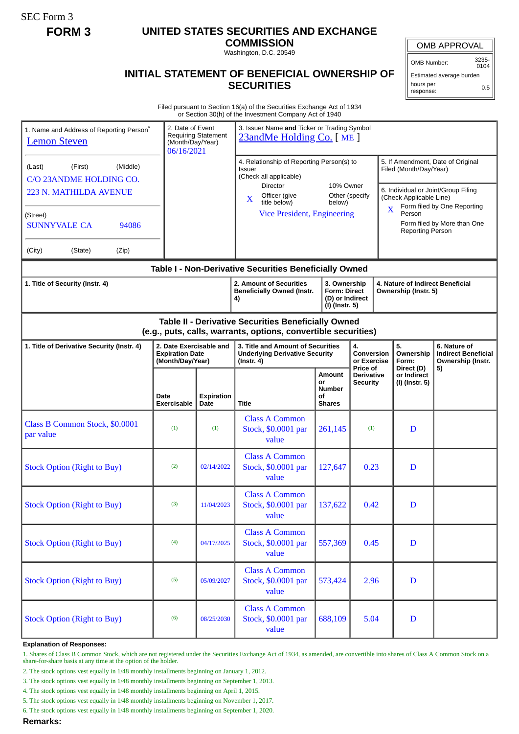SEC Form 3

## **FORM 3 UNITED STATES SECURITIES AND EXCHANGE**

**COMMISSION** Washington, D.C. 20549

OMB APPROVAL

OMB Number: 3235-

 $0104$ Estimated average burden hours per response: 0.5

## **INITIAL STATEMENT OF BENEFICIAL OWNERSHIP OF SECURITIES**

Filed pursuant to Section 16(a) of the Securities Exchange Act of 1934 or Section 30(h) of the Investment Company Act of 1940

| 1. Name and Address of Reporting Person <sup>®</sup><br><b>Lemon Steven</b>                                                                                         | 2. Date of Event<br>(Month/Day/Year)<br>06/16/2021                    | <b>Requiring Statement</b> | 3. Issuer Name and Ticker or Trading Symbol<br>23andMe Holding Co. [ME]                                                                                                                                        |                                                      |                                                  |                                                                                                                                                                                                                                       |                                                                 |
|---------------------------------------------------------------------------------------------------------------------------------------------------------------------|-----------------------------------------------------------------------|----------------------------|----------------------------------------------------------------------------------------------------------------------------------------------------------------------------------------------------------------|------------------------------------------------------|--------------------------------------------------|---------------------------------------------------------------------------------------------------------------------------------------------------------------------------------------------------------------------------------------|-----------------------------------------------------------------|
| (Middle)<br>(Last)<br>(First)<br>C/O 23ANDME HOLDING CO.<br><b>223 N. MATHILDA AVENUE</b><br>(Street)<br><b>SUNNYVALE CA</b><br>94086<br>(City)<br>(Zip)<br>(State) |                                                                       |                            | 4. Relationship of Reporting Person(s) to<br>Issuer<br>(Check all applicable)<br>Director<br>10% Owner<br>Officer (give<br>Other (specify<br>X<br>title below)<br>below)<br><b>Vice President, Engineering</b> |                                                      |                                                  | 5. If Amendment, Date of Original<br>Filed (Month/Day/Year)<br>6. Individual or Joint/Group Filing<br>(Check Applicable Line)<br>Form filed by One Reporting<br>X<br>Person<br>Form filed by More than One<br><b>Reporting Person</b> |                                                                 |
|                                                                                                                                                                     |                                                                       |                            | Table I - Non-Derivative Securities Beneficially Owned                                                                                                                                                         |                                                      |                                                  |                                                                                                                                                                                                                                       |                                                                 |
| 1. Title of Security (Instr. 4)                                                                                                                                     |                                                                       |                            | 2. Amount of Securities<br>3. Ownership<br><b>Beneficially Owned (Instr.</b><br><b>Form: Direct</b><br>(D) or Indirect<br>4)<br>(I) (Instr. 5)                                                                 |                                                      |                                                  | 4. Nature of Indirect Beneficial<br>Ownership (Instr. 5)                                                                                                                                                                              |                                                                 |
| Table II - Derivative Securities Beneficially Owned<br>(e.g., puts, calls, warrants, options, convertible securities)                                               |                                                                       |                            |                                                                                                                                                                                                                |                                                      |                                                  |                                                                                                                                                                                                                                       |                                                                 |
| 1. Title of Derivative Security (Instr. 4)                                                                                                                          | 2. Date Exercisable and<br><b>Expiration Date</b><br>(Month/Day/Year) |                            | 3. Title and Amount of Securities<br><b>Underlying Derivative Security</b><br>$($ Instr. 4 $)$                                                                                                                 |                                                      | 4.<br>Conversion<br>or Exercise                  | 5.<br>Ownership<br>Form:                                                                                                                                                                                                              | 6. Nature of<br><b>Indirect Beneficial</b><br>Ownership (Instr. |
|                                                                                                                                                                     | Date<br><b>Exercisable</b>                                            | <b>Expiration</b><br>Date  | Title                                                                                                                                                                                                          | Amount<br>or<br><b>Number</b><br>οf<br><b>Shares</b> | Price of<br><b>Derivative</b><br><b>Security</b> | Direct (D)<br>or Indirect<br>(I) (Instr. 5)                                                                                                                                                                                           | 5)                                                              |
| Class B Common Stock, \$0.0001<br>par value                                                                                                                         | (1)                                                                   | (1)                        | <b>Class A Common</b><br>Stock, \$0.0001 par<br>value                                                                                                                                                          | 261,145                                              | (1)                                              | D                                                                                                                                                                                                                                     |                                                                 |
| <b>Stock Option (Right to Buy)</b>                                                                                                                                  | (2)                                                                   | 02/14/2022                 | <b>Class A Common</b><br>Stock, \$0.0001 par<br>value                                                                                                                                                          | 127,647                                              | 0.23                                             | D                                                                                                                                                                                                                                     |                                                                 |
| <b>Stock Option (Right to Buy)</b>                                                                                                                                  | (3)                                                                   | 11/04/2023                 | <b>Class A Common</b><br>Stock, \$0.0001 par<br>value                                                                                                                                                          | 137,622                                              | 0.42                                             | D                                                                                                                                                                                                                                     |                                                                 |
| <b>Stock Option (Right to Buy)</b>                                                                                                                                  | (4)                                                                   | 04/17/2025                 | <b>Class A Common</b><br>Stock, \$0.0001 par<br>value                                                                                                                                                          | 557,369                                              | 0.45                                             | D                                                                                                                                                                                                                                     |                                                                 |
| <b>Stock Option (Right to Buy)</b>                                                                                                                                  | (5)                                                                   | 05/09/2027                 | <b>Class A Common</b><br>Stock, \$0.0001 par<br>value                                                                                                                                                          | 573,424                                              | 2.96                                             | D                                                                                                                                                                                                                                     |                                                                 |
| <b>Stock Option (Right to Buy)</b>                                                                                                                                  | (6)                                                                   | 08/25/2030                 | <b>Class A Common</b><br>Stock, \$0.0001 par<br>value                                                                                                                                                          | 688,109                                              | 5.04                                             | D                                                                                                                                                                                                                                     |                                                                 |

## **Explanation of Responses:**

1. Shares of Class B Common Stock, which are not registered under the Securities Exchange Act of 1934, as amended, are convertible into shares of Class A Common Stock on a share-for-share basis at any time at the option of the holder.

2. The stock options vest equally in 1/48 monthly installments beginning on January 1, 2012.

3. The stock options vest equally in 1/48 monthly installments beginning on September 1, 2013.

4. The stock options vest equally in 1/48 monthly installments beginning on April 1, 2015.

5. The stock options vest equally in 1/48 monthly installments beginning on November 1, 2017.

6. The stock options vest equally in 1/48 monthly installments beginning on September 1, 2020.

**Remarks:**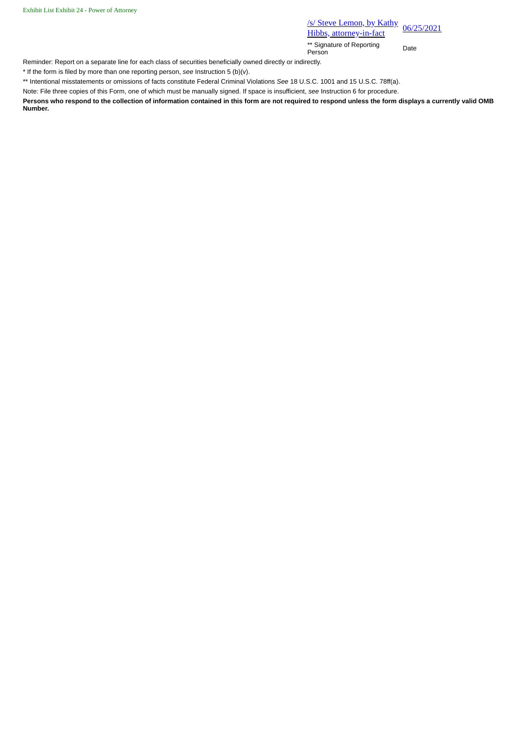**/s/ Steve Lemon, by Kathy** <u>S/Steve Lemon, by Kathy</u><br>Hibbs, attorney-in-fact<br>
Hibbs, attorney-in-fact

\*\* Signature of Reporting Person Date

Reminder: Report on a separate line for each class of securities beneficially owned directly or indirectly.

\* If the form is filed by more than one reporting person, *see* Instruction 5 (b)(v).

\*\* Intentional misstatements or omissions of facts constitute Federal Criminal Violations *See* 18 U.S.C. 1001 and 15 U.S.C. 78ff(a).

Note: File three copies of this Form, one of which must be manually signed. If space is insufficient, *see* Instruction 6 for procedure.

**Persons who respond to the collection of information contained in this form are not required to respond unless the form displays a currently valid OMB Number.**